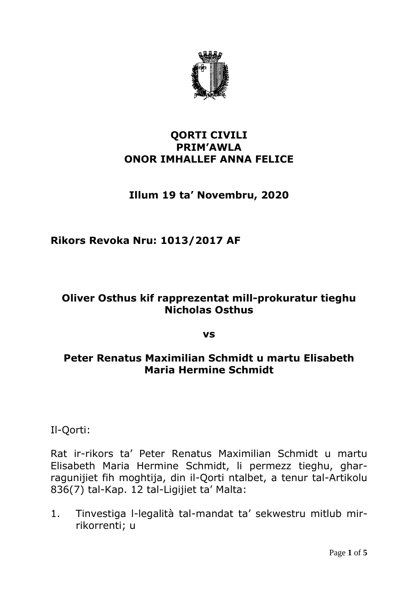

#### **QORTI CIVILI PRIM'AWLA ONOR IMHALLEF ANNA FELICE**

# **Illum 19 ta' Novembru, 2020**

## **Rikors Revoka Nru: 1013/2017 AF**

### **Oliver Osthus kif rapprezentat mill-prokuratur tieghu Nicholas Osthus**

**vs**

### **Peter Renatus Maximilian Schmidt u martu Elisabeth Maria Hermine Schmidt**

Il-Qorti:

Rat ir-rikors ta' Peter Renatus Maximilian Schmidt u martu Elisabeth Maria Hermine Schmidt, li permezz tieghu, gharragunijiet fih moghtija, din il-Qorti ntalbet, a tenur tal-Artikolu 836(7) tal-Kap. 12 tal-Ligijiet ta' Malta:

1. Tinvestiga l-legalità tal-mandat ta' sekwestru mitlub mirrikorrenti; u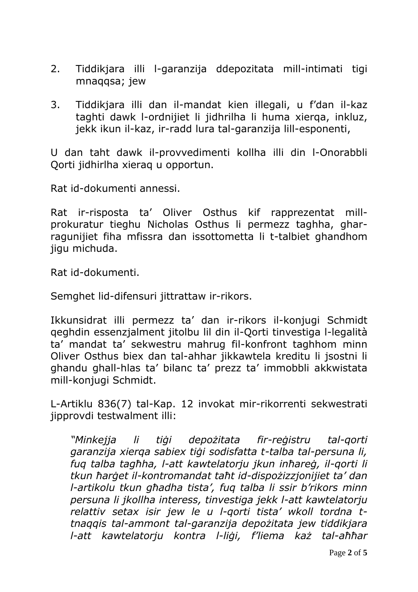- 2. Tiddikjara illi l-garanzija ddepozitata mill-intimati tigi mnaqqsa; jew
- 3. Tiddikjara illi dan il-mandat kien illegali, u f'dan il-kaz taghti dawk l-ordnijiet li jidhrilha li huma xierqa, inkluz, jekk ikun il-kaz, ir-radd lura tal-garanzija lill-esponenti,

U dan taht dawk il-provvedimenti kollha illi din l-Onorabbli Qorti jidhirlha xieraq u opportun.

Rat id-dokumenti annessi.

Rat ir-risposta ta' Oliver Osthus kif rapprezentat millprokuratur tieghu Nicholas Osthus li permezz taghha, gharragunijiet fiha mfissra dan issottometta li t-talbiet ghandhom jigu michuda.

Rat id-dokumenti.

Semghet lid-difensuri jittrattaw ir-rikors.

Ikkunsidrat illi permezz ta' dan ir-rikors il-konjugi Schmidt qeghdin essenzjalment jitolbu lil din il-Qorti tinvestiga l-legalità ta' mandat ta' sekwestru mahrug fil-konfront taghhom minn Oliver Osthus biex dan tal-ahhar jikkawtela kreditu li jsostni li ghandu ghall-hlas ta' bilanc ta' prezz ta' immobbli akkwistata mill-konjugi Schmidt.

L-Artiklu 836(7) tal-Kap. 12 invokat mir-rikorrenti sekwestrati jipprovdi testwalment illi:

*"Minkejja li tiġi depożitata fir-reġistru tal-qorti garanzija xierqa sabiex tiġi sodisfatta t-talba tal-persuna li, fuq talba tagħha, l-att kawtelatorju jkun inħareġ, il-qorti li tkun ħarġet il-kontromandat taħt id-dispożizzjonijiet ta' dan l-artikolu tkun għadha tista', fuq talba li ssir b'rikors minn persuna li jkollha interess, tinvestiga jekk l-att kawtelatorju relattiv setax isir jew le u l-qorti tista' wkoll tordna ttnaqqis tal-ammont tal-garanzija depożitata jew tiddikjara l-att kawtelatorju kontra l-liġi, f'liema każ tal-aħħar*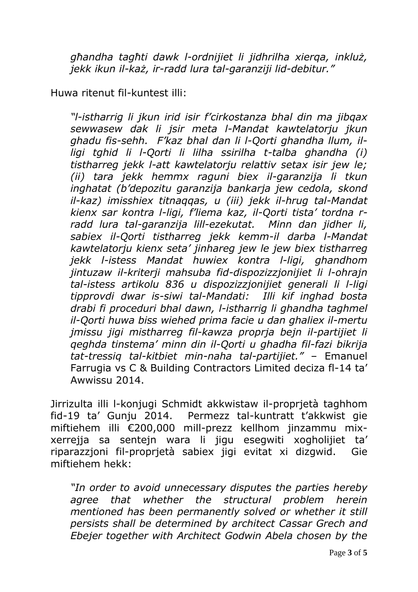*għandha tagħti dawk l-ordnijiet li jidhrilha xierqa, inkluż, jekk ikun il-każ, ir-radd lura tal-garanziji lid-debitur."*

Huwa ritenut fil-kuntest illi:

*"l-istharrig li jkun irid isir f'cirkostanza bhal din ma jibqax sewwasew dak li jsir meta l-Mandat kawtelatorju jkun ghadu fis-sehh. F'kaz bhal dan li l-Qorti ghandha llum, illigi tghid li l-Qorti li lilha ssirilha t-talba ghandha (i) tistharreg jekk l-att kawtelatorju relattiv setax isir jew le; (ii) tara jekk hemmx raguni biex il-garanzija li tkun inghatat (b'depozitu garanzija bankarja jew cedola, skond il-kaz) imisshiex titnaqqas, u (iii) jekk il-hrug tal-Mandat kienx sar kontra l-ligi, f'liema kaz, il-Qorti tista' tordna rradd lura tal-garanzija lill-ezekutat. Minn dan jidher li, sabiex il-Qorti tistharreg jekk kemm-il darba l-Mandat kawtelatorju kienx seta' jinhareg jew le jew biex tistharreg jekk l-istess Mandat huwiex kontra l-ligi, ghandhom jintuzaw il-kriterji mahsuba fid-dispozizzjonijiet li l-ohrajn tal-istess artikolu 836 u dispozizzjonijiet generali li l-ligi tipprovdi dwar is-siwi tal-Mandati: Illi kif inghad bosta drabi fi proceduri bhal dawn, l-istharrig li ghandha taghmel il-Qorti huwa biss wiehed prima facie u dan ghaliex il-mertu jmissu jigi mistharreg fil-kawza proprja bejn il-partijiet li qeghda tinstema' minn din il-Qorti u ghadha fil-fazi bikrija tat-tressiq tal-kitbiet min-naha tal-partijiet."* – Emanuel Farrugia vs C & Building Contractors Limited deciza fl-14 ta' Awwissu 2014.

Jirrizulta illi l-konjugi Schmidt akkwistaw il-proprjetà taghhom fid-19 ta' Gunju 2014. Permezz tal-kuntratt t'akkwist gie miftiehem illi €200,000 mill-prezz kellhom jinzammu mixxerrejja sa sentejn wara li jigu esegwiti xogholijiet ta' riparazzjoni fil-proprjetà sabiex jigi evitat xi dizgwid. Gie miftiehem hekk:

*"In order to avoid unnecessary disputes the parties hereby agree that whether the structural problem herein mentioned has been permanently solved or whether it still persists shall be determined by architect Cassar Grech and Ebejer together with Architect Godwin Abela chosen by the*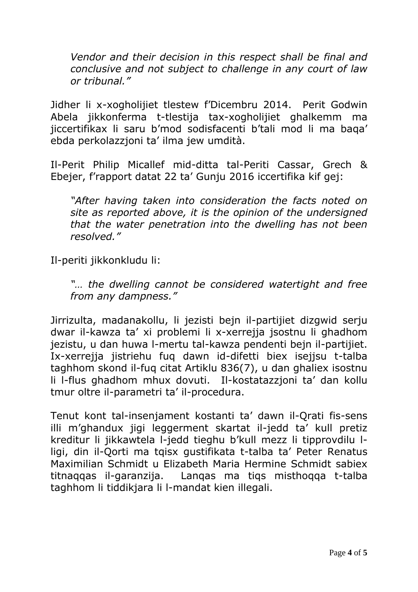*Vendor and their decision in this respect shall be final and conclusive and not subject to challenge in any court of law or tribunal."*

Jidher li x-xogholijiet tlestew f'Dicembru 2014. Perit Godwin Abela jikkonferma t-tlestija tax-xogholijiet ghalkemm ma jiccertifikax li saru b'mod sodisfacenti b'tali mod li ma baqa' ebda perkolazzjoni ta' ilma jew umdità.

Il-Perit Philip Micallef mid-ditta tal-Periti Cassar, Grech & Ebejer, f'rapport datat 22 ta' Gunju 2016 iccertifika kif gej:

*"After having taken into consideration the facts noted on site as reported above, it is the opinion of the undersigned that the water penetration into the dwelling has not been resolved."*

Il-periti jikkonkludu li:

*"… the dwelling cannot be considered watertight and free from any dampness."*

Jirrizulta, madanakollu, li jezisti bejn il-partijiet dizgwid serju dwar il-kawza ta' xi problemi li x-xerrejja jsostnu li ghadhom jezistu, u dan huwa l-mertu tal-kawza pendenti bejn il-partijiet. Ix-xerrejja jistriehu fuq dawn id-difetti biex isejjsu t-talba taghhom skond il-fuq citat Artiklu 836(7), u dan ghaliex isostnu li l-flus ghadhom mhux dovuti. Il-kostatazzjoni ta' dan kollu tmur oltre il-parametri ta' il-procedura.

Tenut kont tal-insenjament kostanti ta' dawn il-Qrati fis-sens illi m'ghandux jigi leggerment skartat il-jedd ta' kull pretiz kreditur li jikkawtela l-jedd tieghu b'kull mezz li tipprovdilu lligi, din il-Qorti ma tqisx gustifikata t-talba ta' Peter Renatus Maximilian Schmidt u Elizabeth Maria Hermine Schmidt sabiex titnaqqas il-garanzija. Lanqas ma tiqs misthoqqa t-talba taghhom li tiddikjara li l-mandat kien illegali.